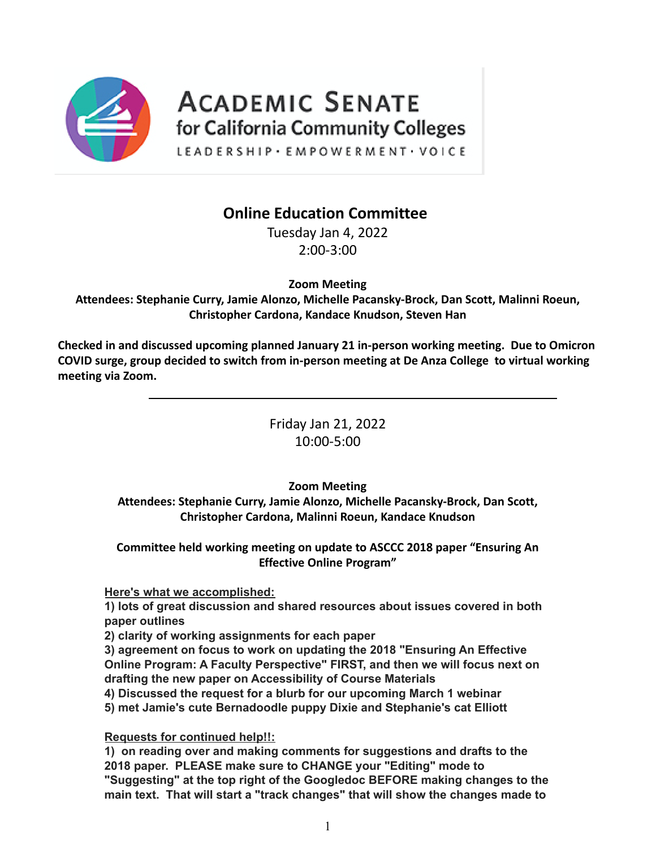

## **ACADEMIC SENATE** for California Community Colleges

LEADERSHIP · EMPOWERMENT · VOICE

## **Online Education Committee**

Tuesday Jan 4, 2022 2:00-3:00

**Zoom Meeting**

**Attendees: Stephanie Curry, Jamie Alonzo, Michelle Pacansky-Brock, Dan Scott, Malinni Roeun, Christopher Cardona, Kandace Knudson, Steven Han**

**Checked in and discussed upcoming planned January 21 in-person working meeting. Due to Omicron COVID surge, group decided to switch from in-person meeting at De Anza College to virtual working meeting via Zoom.**

> Friday Jan 21, 2022 10:00-5:00

## **Zoom Meeting**

**Attendees: Stephanie Curry, Jamie Alonzo, Michelle Pacansky-Brock, Dan Scott, Christopher Cardona, Malinni Roeun, Kandace Knudson**

**Committee held working meeting on update to ASCCC 2018 paper "Ensuring An Effective Online Program"**

## **Here's what we accomplished:**

**1) lots of great discussion and shared resources about issues covered in both paper outlines**

**2) clarity of working assignments for each paper**

**3) agreement on focus to work on updating the 2018 "Ensuring An Effective Online Program: A Faculty Perspective" FIRST, and then we will focus next on drafting the new paper on Accessibility of Course Materials**

**4) Discussed the request for a blurb for our upcoming March 1 webinar 5) met Jamie's cute Bernadoodle puppy Dixie and Stephanie's cat Elliott**

**Requests for continued help!!:**

**1) on reading over and making comments for suggestions and drafts to the 2018 paper. PLEASE make sure to CHANGE your "Editing" mode to "Suggesting" at the top right of the Googledoc BEFORE making changes to the main text. That will start a "track changes" that will show the changes made to**